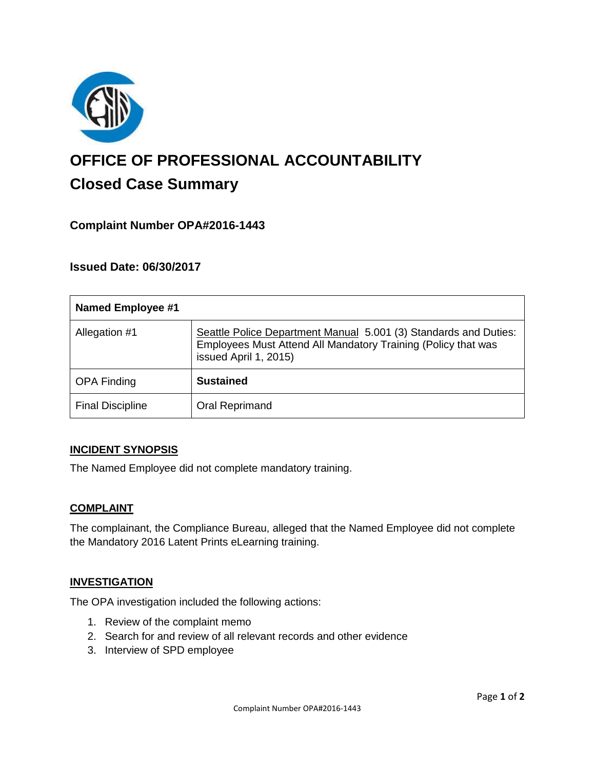

# **OFFICE OF PROFESSIONAL ACCOUNTABILITY Closed Case Summary**

# **Complaint Number OPA#2016-1443**

# **Issued Date: 06/30/2017**

| <b>Named Employee #1</b> |                                                                                                                                                            |
|--------------------------|------------------------------------------------------------------------------------------------------------------------------------------------------------|
| Allegation #1            | Seattle Police Department Manual 5.001 (3) Standards and Duties:<br>Employees Must Attend All Mandatory Training (Policy that was<br>issued April 1, 2015) |
| <b>OPA Finding</b>       | <b>Sustained</b>                                                                                                                                           |
| <b>Final Discipline</b>  | Oral Reprimand                                                                                                                                             |

#### **INCIDENT SYNOPSIS**

The Named Employee did not complete mandatory training.

#### **COMPLAINT**

The complainant, the Compliance Bureau, alleged that the Named Employee did not complete the Mandatory 2016 Latent Prints eLearning training.

#### **INVESTIGATION**

The OPA investigation included the following actions:

- 1. Review of the complaint memo
- 2. Search for and review of all relevant records and other evidence
- 3. Interview of SPD employee